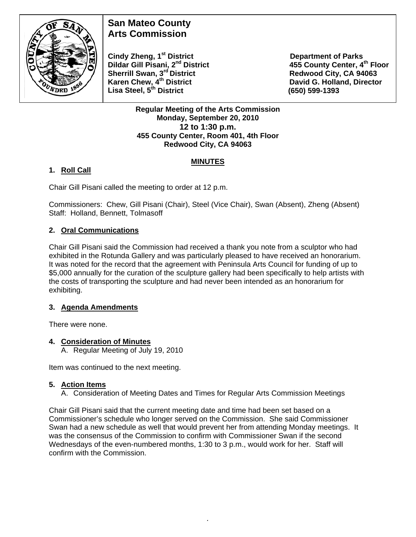

# **San Mateo County Arts Commission**

**Cindy Zheng, 1<sup>st</sup> District Department of Parks Dildar Gill Pisani, 2<sup>nd</sup> District 455 County Center, 4<sup>th</sup> Floor Sherrill Swan, 3<sup>rd</sup> District <b>Redwood City, CA 94063**<br> **Karen Chew, 4<sup>th</sup> District Caren Bass Controllery Control Control David G. Holland, Directo Lisa Steel, 5th District (650) 599-1393** 

**David G. Holland, Director** 

#### **Regular Meeting of the Arts Commission Monday, September 20, 2010 12 to 1:30 p.m. 455 County Center, Room 401, 4th Floor Redwood City, CA 94063**

# **MINUTES**

# **1. Roll Call**

Chair Gill Pisani called the meeting to order at 12 p.m.

Commissioners: Chew, Gill Pisani (Chair), Steel (Vice Chair), Swan (Absent), Zheng (Absent) Staff: Holland, Bennett, Tolmasoff

### **2. Oral Communications**

Chair Gill Pisani said the Commission had received a thank you note from a sculptor who had exhibited in the Rotunda Gallery and was particularly pleased to have received an honorarium. It was noted for the record that the agreement with Peninsula Arts Council for funding of up to \$5,000 annually for the curation of the sculpture gallery had been specifically to help artists with the costs of transporting the sculpture and had never been intended as an honorarium for exhibiting.

### **3. Agenda Amendments**

There were none.

### **4. Consideration of Minutes**

A. Regular Meeting of July 19, 2010

Item was continued to the next meeting.

### **5. Action Items**

A. Consideration of Meeting Dates and Times for Regular Arts Commission Meetings

Chair Gill Pisani said that the current meeting date and time had been set based on a Commissioner's schedule who longer served on the Commission. She said Commissioner Swan had a new schedule as well that would prevent her from attending Monday meetings. It was the consensus of the Commission to confirm with Commissioner Swan if the second Wednesdays of the even-numbered months, 1:30 to 3 p.m., would work for her. Staff will confirm with the Commission.

*.*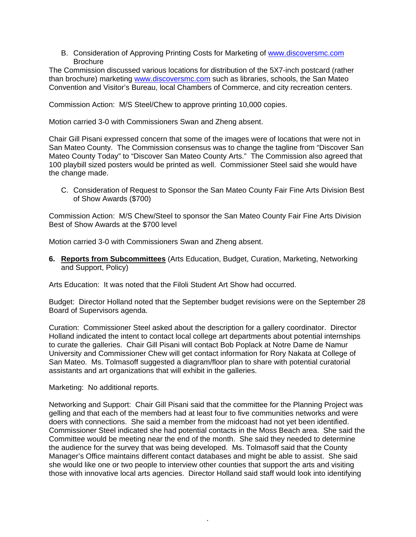B. Consideration of Approving Printing Costs for Marketing of [www.discoversmc.com](http://www.discoversmc.com/) **Brochure** 

The Commission discussed various locations for distribution of the 5X7-inch postcard (rather than brochure) marketing [www.discoversmc.com](http://www.discoversmc.com/) such as libraries, schools, the San Mateo Convention and Visitor's Bureau, local Chambers of Commerce, and city recreation centers.

Commission Action: M/S Steel/Chew to approve printing 10,000 copies.

Motion carried 3-0 with Commissioners Swan and Zheng absent.

Chair Gill Pisani expressed concern that some of the images were of locations that were not in San Mateo County. The Commission consensus was to change the tagline from "Discover San Mateo County Today" to "Discover San Mateo County Arts." The Commission also agreed that 100 playbill sized posters would be printed as well. Commissioner Steel said she would have the change made.

C. Consideration of Request to Sponsor the San Mateo County Fair Fine Arts Division Best of Show Awards (\$700)

Commission Action: M/S Chew/Steel to sponsor the San Mateo County Fair Fine Arts Division Best of Show Awards at the \$700 level

Motion carried 3-0 with Commissioners Swan and Zheng absent.

**6. Reports from Subcommittees** (Arts Education, Budget, Curation, Marketing, Networking and Support, Policy)

Arts Education: It was noted that the Filoli Student Art Show had occurred.

Budget: Director Holland noted that the September budget revisions were on the September 28 Board of Supervisors agenda.

Curation: Commissioner Steel asked about the description for a gallery coordinator. Director Holland indicated the intent to contact local college art departments about potential internships to curate the galleries. Chair Gill Pisani will contact Bob Poplack at Notre Dame de Namur University and Commissioner Chew will get contact information for Rory Nakata at College of San Mateo. Ms. Tolmasoff suggested a diagram/floor plan to share with potential curatorial assistants and art organizations that will exhibit in the galleries.

Marketing: No additional reports.

Networking and Support: Chair Gill Pisani said that the committee for the Planning Project was gelling and that each of the members had at least four to five communities networks and were doers with connections. She said a member from the midcoast had not yet been identified. Commissioner Steel indicated she had potential contacts in the Moss Beach area. She said the Committee would be meeting near the end of the month. She said they needed to determine the audience for the survey that was being developed. Ms. Tolmasoff said that the County Manager's Office maintains different contact databases and might be able to assist. She said she would like one or two people to interview other counties that support the arts and visiting those with innovative local arts agencies. Director Holland said staff would look into identifying

*.*